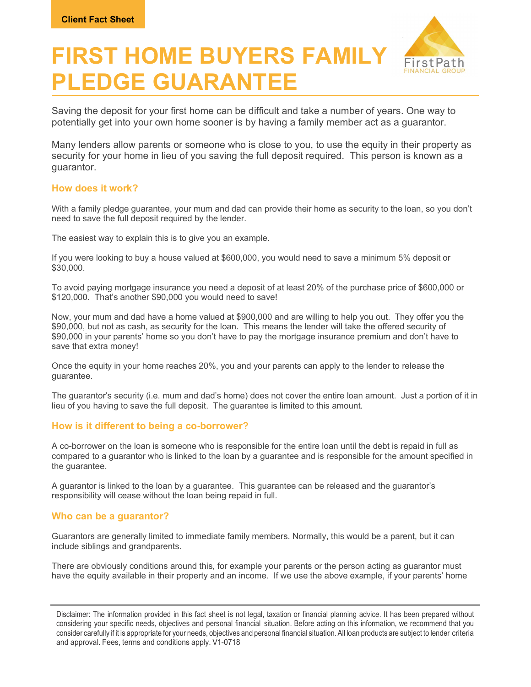

# FIRST HOME BUYERS FAMILY PLEDGE GUARANTEE

Saving the deposit for your first home can be difficult and take a number of years. One way to potentially get into your own home sooner is by having a family member act as a guarantor.

Many lenders allow parents or someone who is close to you, to use the equity in their property as security for your home in lieu of you saving the full deposit required. This person is known as a guarantor.

# How does it work?

With a family pledge guarantee, your mum and dad can provide their home as security to the loan, so you don't need to save the full deposit required by the lender.

The easiest way to explain this is to give you an example.

If you were looking to buy a house valued at \$600,000, you would need to save a minimum 5% deposit or \$30,000.

To avoid paying mortgage insurance you need a deposit of at least 20% of the purchase price of \$600,000 or \$120,000. That's another \$90,000 you would need to save!

Now, your mum and dad have a home valued at \$900,000 and are willing to help you out. They offer you the \$90,000, but not as cash, as security for the loan. This means the lender will take the offered security of \$90,000 in your parents' home so you don't have to pay the mortgage insurance premium and don't have to save that extra money!

Once the equity in your home reaches 20%, you and your parents can apply to the lender to release the guarantee.

The guarantor's security (i.e. mum and dad's home) does not cover the entire loan amount. Just a portion of it in lieu of you having to save the full deposit. The guarantee is limited to this amount.

# How is it different to being a co-borrower?

A co-borrower on the loan is someone who is responsible for the entire loan until the debt is repaid in full as compared to a guarantor who is linked to the loan by a guarantee and is responsible for the amount specified in the guarantee.

A guarantor is linked to the loan by a guarantee. This guarantee can be released and the guarantor's responsibility will cease without the loan being repaid in full.

# Who can be a guarantor?

Guarantors are generally limited to immediate family members. Normally, this would be a parent, but it can include siblings and grandparents.

There are obviously conditions around this, for example your parents or the person acting as guarantor must have the equity available in their property and an income. If we use the above example, if your parents' home

Disclaimer: The information provided in this fact sheet is not legal, taxation or financial planning advice. It has been prepared without considering your specific needs, objectives and personal financial situation. Before acting on this information, we recommend that you consider carefully if it is appropriate for your needs, objectives and personal financial situation. All loan products are subject to lender criteria and approval. Fees, terms and conditions apply. V1-0718